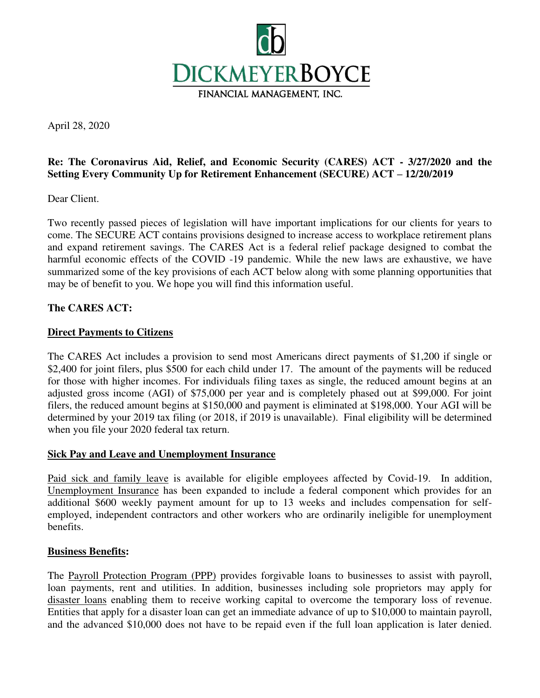

April 28, 2020

# **Re: The Coronavirus Aid, Relief, and Economic Security (CARES) ACT - 3/27/2020 and the Setting Every Community Up for Retirement Enhancement (SECURE) ACT – 12/20/2019**

Dear Client.

Two recently passed pieces of legislation will have important implications for our clients for years to come. The SECURE ACT contains provisions designed to increase access to workplace retirement plans and expand retirement savings. The CARES Act is a federal relief package designed to combat the harmful economic effects of the COVID -19 pandemic. While the new laws are exhaustive, we have summarized some of the key provisions of each ACT below along with some planning opportunities that may be of benefit to you. We hope you will find this information useful.

## **The CARES ACT:**

#### **Direct Payments to Citizens**

The CARES Act includes a provision to send most Americans direct payments of \$1,200 if single or \$2,400 for joint filers, plus \$500 for each child under 17. The amount of the payments will be reduced for those with higher incomes. For individuals filing taxes as single, the reduced amount begins at an adjusted gross income (AGI) of \$75,000 per year and is completely phased out at \$99,000. For joint filers, the reduced amount begins at \$150,000 and payment is eliminated at \$198,000. Your AGI will be determined by your 2019 tax filing (or 2018, if 2019 is unavailable). Final eligibility will be determined when you file your 2020 federal tax return.

#### **Sick Pay and Leave and Unemployment Insurance**

Paid sick and family leave is available for eligible employees affected by Covid-19. In addition, Unemployment Insurance has been expanded to include a federal component which provides for an additional \$600 weekly payment amount for up to 13 weeks and includes compensation for selfemployed, independent contractors and other workers who are ordinarily ineligible for unemployment benefits.

#### **Business Benefits:**

The Payroll Protection Program (PPP) provides forgivable loans to businesses to assist with payroll, loan payments, rent and utilities. In addition, businesses including sole proprietors may apply for disaster loans enabling them to receive working capital to overcome the temporary loss of revenue. Entities that apply for a disaster loan can get an immediate advance of up to \$10,000 to maintain payroll, and the advanced \$10,000 does not have to be repaid even if the full loan application is later denied.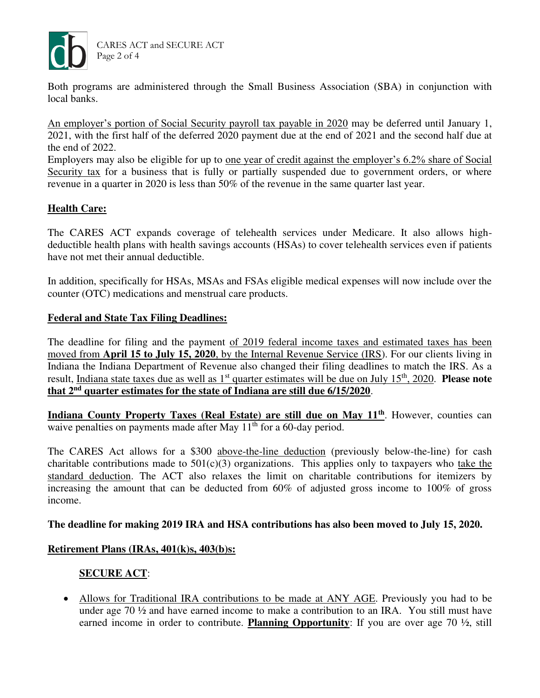

CARES ACT and SECURE ACT Page 2 of 4

Both programs are administered through the Small Business Association (SBA) in conjunction with local banks.

An employer's portion of Social Security payroll tax payable in 2020 may be deferred until January 1, 2021, with the first half of the deferred 2020 payment due at the end of 2021 and the second half due at the end of 2022.

Employers may also be eligible for up to one year of credit against the employer's 6.2% share of Social Security tax for a business that is fully or partially suspended due to government orders, or where revenue in a quarter in 2020 is less than 50% of the revenue in the same quarter last year.

## **Health Care:**

The CARES ACT expands coverage of telehealth services under Medicare. It also allows highdeductible health plans with health savings accounts (HSAs) to cover telehealth services even if patients have not met their annual deductible.

In addition, specifically for HSAs, MSAs and FSAs eligible medical expenses will now include over the counter (OTC) medications and menstrual care products.

## **Federal and State Tax Filing Deadlines:**

The deadline for filing and the payment of 2019 federal income taxes and estimated taxes has been moved from **April 15 to July 15, 2020**, by the Internal Revenue Service (IRS). For our clients living in Indiana the Indiana Department of Revenue also changed their filing deadlines to match the IRS. As a result, Indiana state taxes due as well as 1<sup>st</sup> quarter estimates will be due on July 15<sup>th</sup>, 2020. **Please note that 2nd quarter estimates for the state of Indiana are still due 6/15/2020**.

**Indiana County Property Taxes (Real Estate) are still due on May 11th**. However, counties can waive penalties on payments made after May 11<sup>th</sup> for a 60-day period.

The CARES Act allows for a \$300 above-the-line deduction (previously below-the-line) for cash charitable contributions made to  $501(c)(3)$  organizations. This applies only to taxpayers who take the standard deduction. The ACT also relaxes the limit on charitable contributions for itemizers by increasing the amount that can be deducted from 60% of adjusted gross income to 100% of gross income.

#### **The deadline for making 2019 IRA and HSA contributions has also been moved to July 15, 2020.**

## **Retirement Plans (IRAs, 401(k)s, 403(b)s:**

## **SECURE ACT**:

• Allows for Traditional IRA contributions to be made at ANY AGE. Previously you had to be under age 70 ½ and have earned income to make a contribution to an IRA. You still must have earned income in order to contribute. **Planning Opportunity**: If you are over age 70  $\frac{1}{2}$ , still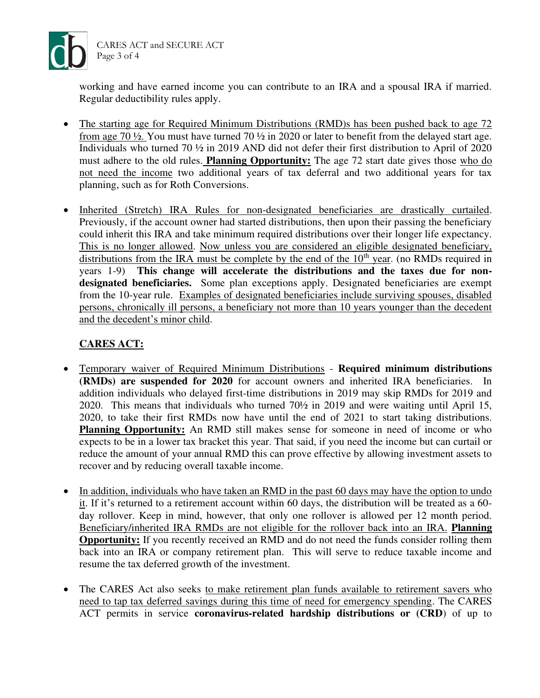

working and have earned income you can contribute to an IRA and a spousal IRA if married. Regular deductibility rules apply.

- The starting age for Required Minimum Distributions (RMD)s has been pushed back to age 72 from age 70 ½. You must have turned 70 ½ in 2020 or later to benefit from the delayed start age. Individuals who turned 70 ½ in 2019 AND did not defer their first distribution to April of 2020 must adhere to the old rules. **Planning Opportunity:** The age 72 start date gives those who do not need the income two additional years of tax deferral and two additional years for tax planning, such as for Roth Conversions.
- Inherited (Stretch) IRA Rules for non-designated beneficiaries are drastically curtailed. Previously, if the account owner had started distributions, then upon their passing the beneficiary could inherit this IRA and take minimum required distributions over their longer life expectancy. This is no longer allowed. Now unless you are considered an eligible designated beneficiary, distributions from the IRA must be complete by the end of the  $10<sup>th</sup>$  year. (no RMDs required in years 1-9) **This change will accelerate the distributions and the taxes due for nondesignated beneficiaries.** Some plan exceptions apply. Designated beneficiaries are exempt from the 10-year rule. Examples of designated beneficiaries include surviving spouses, disabled persons, chronically ill persons, a beneficiary not more than 10 years younger than the decedent and the decedent's minor child.

## **CARES ACT:**

- Temporary waiver of Required Minimum Distributions **Required minimum distributions (RMDs) are suspended for 2020** for account owners and inherited IRA beneficiaries. In addition individuals who delayed first-time distributions in 2019 may skip RMDs for 2019 and 2020. This means that individuals who turned 70½ in 2019 and were waiting until April 15, 2020, to take their first RMDs now have until the end of 2021 to start taking distributions. **Planning Opportunity:** An RMD still makes sense for someone in need of income or who expects to be in a lower tax bracket this year. That said, if you need the income but can curtail or reduce the amount of your annual RMD this can prove effective by allowing investment assets to recover and by reducing overall taxable income.
- In addition, individuals who have taken an RMD in the past 60 days may have the option to undo it. If it's returned to a retirement account within 60 days, the distribution will be treated as a 60 day rollover. Keep in mind, however, that only one rollover is allowed per 12 month period. Beneficiary/inherited IRA RMDs are not eligible for the rollover back into an IRA. **Planning Opportunity:** If you recently received an RMD and do not need the funds consider rolling them back into an IRA or company retirement plan. This will serve to reduce taxable income and resume the tax deferred growth of the investment.
- The CARES Act also seeks to make retirement plan funds available to retirement savers who need to tap tax deferred savings during this time of need for emergency spending. The CARES ACT permits in service **coronavirus-related hardship distributions or (CRD**) of up to